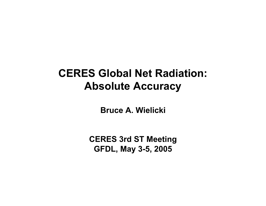## **CERES Global Net Radiation: Absolute Accuracy**

**Bruce A. Wielicki**

**CERES 3rd ST Meeting GFDL, May 3-5, 2005**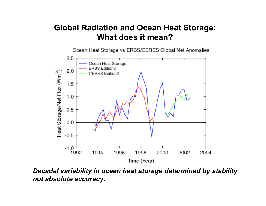### **Global Radiation and Ocean Heat Storage: What does it mean?**

Ocean Heat Storage vs ERBS/CERES Global Net Anomalies



*Decadal variability in ocean heat storage determined by stability not absolute accuracy.*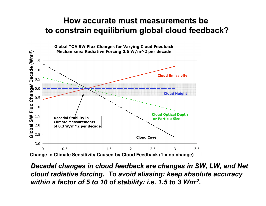### **How accurate must measurements be How accurate must measurements be to constrain equilibrium global cloud feedback? to constrain equilibrium global cloud feedback?**



**Decadal changes in cloud feedback are changes in SW, LW, and Net** *cloud radiative radiative forcing. forcing. To avoid aliasing: keep absolute accuracy within a factor of 5 to 10 of stability: i.e. 1.5 to 3 Wm-2.*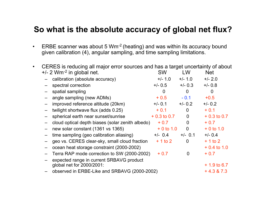#### **So what is the absolute accuracy of global net flux?**

• ERBE scanner was about 5  $Wm^{-2}$  (heating) and was within its accuracy bound given calibration (4), angular sampling, and time sampling limitations.

| CERES is reducing all major error sources and has a target uncertainty of about |                                                  |               |                |               |
|---------------------------------------------------------------------------------|--------------------------------------------------|---------------|----------------|---------------|
|                                                                                 | $+/- 2$ Wm <sup>-2</sup> in global net.          | <b>SW</b>     | LW.            | <b>Net</b>    |
|                                                                                 | calibration (absolute accuracy)                  | $+/- 1.0$     | $+/- 1.0$      | $+/- 2.0$     |
|                                                                                 | spectral correction                              | $+/- 0.5$     | $+/- 0.3$      | $+/- 0.8$     |
|                                                                                 | spatial sampling                                 | 0             | 0              | $\Omega$      |
|                                                                                 | angle sampling (new ADMs)                        | $+0.5$        | $-0.1$         | $+0.5$        |
|                                                                                 | improved reference altitude (20km)               | $+/- 0.1$     | $+/- 0.2$      | $+/- 0.2$     |
|                                                                                 | twilight shortwave flux (adds 0.25)              | $+0.1$        | 0              | $+0.1$        |
|                                                                                 | spherical earth near sunset/sunrise              | $+0.3$ to 0.7 | $\overline{0}$ | $+0.3$ to 0.7 |
|                                                                                 | cloud optical depth biases (solar zenith albedo) | $+0.7$        | $\overline{0}$ | $+0.7$        |
| $\equiv$                                                                        | new solar constant (1361 vs 1365)                | $+0$ to 1.0   | $\overline{0}$ | $+0$ to 1.0   |
|                                                                                 | time sampling (geo calibration aliasing)         | $+/-$ 0.4     | $+/-$ 0.1      | $+/- 0.4$     |
|                                                                                 | geo vs. CERES clear-sky, small cloud fraction    | $+1$ to 2     | $\overline{0}$ | $+1$ to 2     |
|                                                                                 | ocean heat storage constraint (2000-2002)        |               |                | $+0.4$ to 1.0 |
|                                                                                 | Terra RAP mode correction to SW (2000-2002)      | $+0.7$        | $\overline{0}$ | $+0.7$        |
|                                                                                 | expected range in current SRBAVG product         |               |                |               |
|                                                                                 | global net for 2000/2001:                        |               |                | $+1.9$ to 6.7 |
|                                                                                 | observed in ERBE-Like and SRBAVG (2000-2002)     |               |                | $+4.3 & 7.3$  |